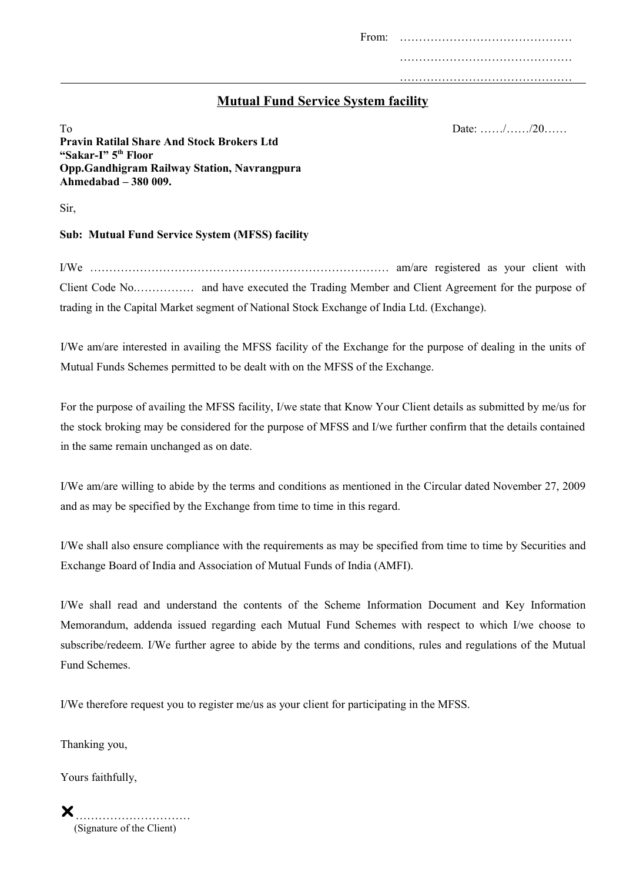From: ……………………………………… ………………………………………

………………………………………

# **Mutual Fund Service System facility**

 $\Gamma$ o Date: ……/……/20…… **Pravin Ratilal Share And Stock Brokers Ltd "Sakar-I" 5th Floor Opp.Gandhigram Railway Station, Navrangpura Ahmedabad – 380 009.**

Sir,

### **Sub: Mutual Fund Service System (MFSS) facility**

I/We …………………………………………………………………… am/are registered as your client with Client Code No.…………… and have executed the Trading Member and Client Agreement for the purpose of trading in the Capital Market segment of National Stock Exchange of India Ltd. (Exchange).

I/We am/are interested in availing the MFSS facility of the Exchange for the purpose of dealing in the units of Mutual Funds Schemes permitted to be dealt with on the MFSS of the Exchange.

For the purpose of availing the MFSS facility, I/we state that Know Your Client details as submitted by me/us for the stock broking may be considered for the purpose of MFSS and I/we further confirm that the details contained in the same remain unchanged as on date.

I/We am/are willing to abide by the terms and conditions as mentioned in the Circular dated November 27, 2009 and as may be specified by the Exchange from time to time in this regard.

I/We shall also ensure compliance with the requirements as may be specified from time to time by Securities and Exchange Board of India and Association of Mutual Funds of India (AMFI).

I/We shall read and understand the contents of the Scheme Information Document and Key Information Memorandum, addenda issued regarding each Mutual Fund Schemes with respect to which I/we choose to subscribe/redeem. I/We further agree to abide by the terms and conditions, rules and regulations of the Mutual Fund Schemes.

I/We therefore request you to register me/us as your client for participating in the MFSS.

Thanking you,

Yours faithfully,

………………………… (Signature of the Client)